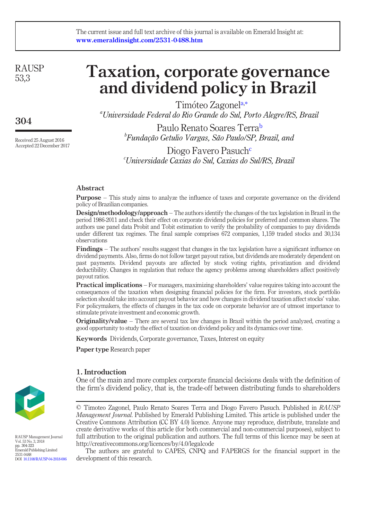#### The current issue and full text archive of this journal is available on Emerald Insight at: www.emeraldinsight.com/2531-0488.htm

**RAUSP** 53,3

304

Received 25 August 2016 Accepted 22 December 2017

# Taxation, corporate governance and dividend policy in Brazil

Timoteo Zagonela[,\\*](#page-19-0) *<sup>a</sup>* Universidade Federal do Rio Grande do Sul, Porto Alegre/RS, Brazil

Paulo Renato Soares Terra<sup>b</sup> *b* Fundação Getulio Vargas, São Paulo/SP, Brazil, and

Diogo Favero Pasuch<sup>c</sup> Universidade Caxias do Sul, Caxias do Sul/RS, Brazil

# Abstract

Purpose – This study aims to analyze the influence of taxes and corporate governance on the dividend policy of Brazilian companies.

Design/methodology/approach – The authors identify the changes of the tax legislation in Brazil in the period 1986-2011 and check their effect on corporate dividend policies for preferred and common shares. The authors use panel data Probit and Tobit estimation to verify the probability of companies to pay dividends under different tax regimes. The final sample comprises 672 companies, 1,159 traded stocks and 30,134 observations

Findings – The authors' results suggest that changes in the tax legislation have a significant influence on dividend payments. Also, firms do not follow target payout ratios, but dividends are moderately dependent on past payments. Dividend payouts are affected by stock voting rights, privatization and dividend deductibility. Changes in regulation that reduce the agency problems among shareholders affect positively payout ratios.

**Practical implications** – For managers, maximizing shareholders' value requires taking into account the consequences of the taxation when designing financial policies for the firm. For investors, stock portfolio selection should take into account payout behavior and how changes in dividend taxation affect stocks' value. For policymakers, the effects of changes in the tax code on corporate behavior are of utmost importance to stimulate private investment and economic growth.

**Originality/value** – There are several tax law changes in Brazil within the period analyzed, creating a good opportunity to study the effect of taxation on dividend policy and its dynamics over time.

Keywords Dividends, Corporate governance, Taxes, Interest on equity

Paper type Research paper

# 1. Introduction

One of the main and more complex corporate financial decisions deals with the definition of the firm's dividend policy, that is, the trade-off between distributing funds to shareholders



RAUSP Management Journal Vol. 53 No. 3, 2018 pp. 304-323 Emerald Publishing Limited 2531-0488 DOI [10.1108/RAUSP-04-2018-006](http://dx.doi.org/10.1108/RAUSP-04-2018-006)

The authors are grateful to CAPES, CNPQ and FAPERGS for the financial support in the development of this research.



<sup>©</sup> Timoteo Zagonel, Paulo Renato Soares Terra and Diogo Favero Pasuch. Published in RAUSP Management Journal. Published by Emerald Publishing Limited. This article is published under the Creative Commons Attribution (CC BY 4.0) licence. Anyone may reproduce, distribute, translate and create derivative works of this article (for both commercial and non-commercial purposes), subject to full attribution to the original publication and authors. The full terms of this licence may be seen at http://creativecommons.org/licences/by/4.0/legalcode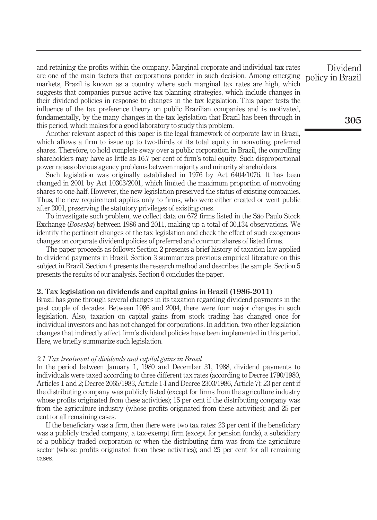and retaining the profits within the company. Marginal corporate and individual tax rates are one of the main factors that corporations ponder in such decision. Among emerging markets, Brazil is known as a country where such marginal tax rates are high, which suggests that companies pursue active tax planning strategies, which include changes in their dividend policies in response to changes in the tax legislation. This paper tests the influence of the tax preference theory on public Brazilian companies and is motivated, fundamentally, by the many changes in the tax legislation that Brazil has been through in this period, which makes for a good laboratory to study this problem.

Another relevant aspect of this paper is the legal framework of corporate law in Brazil, which allows a firm to issue up to two-thirds of its total equity in nonvoting preferred shares. Therefore, to hold complete sway over a public corporation in Brazil, the controlling shareholders may have as little as 16.7 per cent of firm's total equity. Such disproportional power raises obvious agency problems between majority and minority shareholders.

Such legislation was originally established in 1976 by Act 6404/1076. It has been changed in 2001 by Act 10303/2001, which limited the maximum proportion of nonvoting shares to one-half. However, the new legislation preserved the status of existing companies. Thus, the new requirement applies only to firms, who were either created or went public after 2001, preserving the statutory privileges of existing ones.

To investigate such problem, we collect data on 672 firms listed in the São Paulo Stock Exchange (Bovespa) between 1986 and 2011, making up a total of 30,134 observations. We identify the pertinent changes of the tax legislation and check the effect of such exogenous changes on corporate dividend policies of preferred and common shares of listed firms.

The paper proceeds as follows: Section 2 presents a brief history of taxation law applied to dividend payments in Brazil. Section 3 summarizes previous empirical literature on this subject in Brazil. Section 4 presents the research method and describes the sample. Section 5 presents the results of our analysis. Section 6 concludes the paper.

## 2. Tax legislation on dividends and capital gains in Brazil (1986-2011)

Brazil has gone through several changes in its taxation regarding dividend payments in the past couple of decades. Between 1986 and 2004, there were four major changes in such legislation. Also, taxation on capital gains from stock trading has changed once for individual investors and has not changed for corporations. In addition, two other legislation changes that indirectly affect firm's dividend policies have been implemented in this period. Here, we briefly summarize such legislation.

## 2.1 Tax treatment of dividends and capital gains in Brazil

In the period between January 1, 1980 and December 31, 1988, dividend payments to individuals were taxed according to three different tax rates (according to Decree 1790/1980, Articles 1 and 2; Decree 2065/1983, Article 1-I and Decree 2303/1986, Article 7): 23 per cent if the distributing company was publicly listed (except for firms from the agriculture industry whose profits originated from these activities); 15 per cent if the distributing company was from the agriculture industry (whose profits originated from these activities); and 25 per cent for all remaining cases.

If the beneficiary was a firm, then there were two tax rates: 23 per cent if the beneficiary was a publicly traded company, a tax-exempt firm (except for pension funds), a subsidiary of a publicly traded corporation or when the distributing firm was from the agriculture sector (whose profits originated from these activities); and 25 per cent for all remaining cases.

Dividend policy in Brazil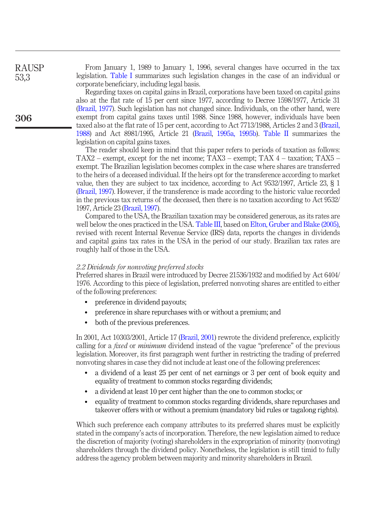From January 1, 1989 to January 1, 1996, several changes have occurred in the tax legislation. [Table I](#page-3-0) summarizes such legislation changes in the case of an individual or corporate beneficiary, including legal basis.

Regarding taxes on capital gains in Brazil, corporations have been taxed on capital gains also at the flat rate of 15 per cent since 1977, according to Decree 1598/1977, Article 31 [\(Brazil, 1977\)](#page-16-0). Such legislation has not changed since. Individuals, on the other hand, were exempt from capital gains taxes until 1988. Since 1988, however, individuals have been taxed also at the flat rate of 15 per cent, according to Act 7713/1988, Articles 2 and 3 ([Brazil,](#page-16-1) [1988](#page-16-1)) and Act 8981/1995, Article 21 ([Brazil](#page-16-2), [1995a, 1995b\)](#page-17-0). [Table II](#page-5-0) summarizes the legislation on capital gains taxes.

The reader should keep in mind that this paper refers to periods of taxation as follows: TAX2 – exempt, except for the net income; TAX3 – exempt; TAX  $4$  – taxation; TAX5 – exempt. The Brazilian legislation becomes complex in the case where shares are transferred to the heirs of a deceased individual. If the heirs opt for the transference according to market value, then they are subject to tax incidence, according to Act 9532/1997, Article 23, § 1 [\(Brazil, 1997\)](#page-17-1). However, if the transference is made according to the historic value recorded in the previous tax returns of the deceased, then there is no taxation according to Act 9532/ 1997, Article 23 [\(Brazil, 1997](#page-17-1)).

Compared to the USA, the Brazilian taxation may be considered generous, as its rates are well below the ones practiced in the USA. [Table III,](#page-5-1) based on [Elton, Gruber and Blake \(2005\)](#page-17-2), revised with recent Internal Revenue Service (IRS) data, reports the changes in dividends and capital gains tax rates in the USA in the period of our study. Brazilian tax rates are roughly half of those in the USA.

#### 2.2 Dividends for nonvoting preferred stocks

Preferred shares in Brazil were introduced by Decree 21536/1932 and modified by Act 6404/ 1976. According to this piece of legislation, preferred nonvoting shares are entitled to either of the following preferences:

- preference in dividend payouts;
- preference in share repurchases with or without a premium; and
- both of the previous preferences.

In 2001, Act 10303/2001, Article 17 [\(Brazil, 2001\)](#page-17-3) rewrote the dividend preference, explicitly calling for a *fixed* or *minimum* dividend instead of the vague "preference" of the previous legislation. Moreover, its first paragraph went further in restricting the trading of preferred nonvoting shares in case they did not include at least one of the following preferences:

- a dividend of a least 25 per cent of net earnings or 3 per cent of book equity and equality of treatment to common stocks regarding dividends;
- a dividend at least 10 per cent higher than the one to common stocks; or
- equality of treatment to common stocks regarding dividends, share repurchases and takeover offers with or without a premium (mandatory bid rules or tagalong rights).

Which such preference each company attributes to its preferred shares must be explicitly stated in the company's acts of incorporation. Therefore, the new legislation aimed to reduce the discretion of majority (voting) shareholders in the expropriation of minority (nonvoting) shareholders through the dividend policy. Nonetheless, the legislation is still timid to fully address the agency problem between majority and minority shareholders in Brazil.

RAUSP 53,3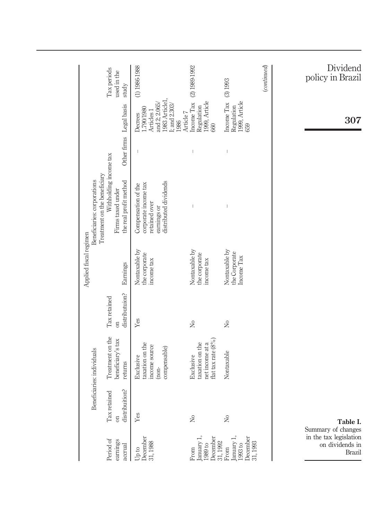<span id="page-3-0"></span>

| Beneficiaries: individuals                               |                                          | Applied fiscal regimen                       | Treatment on the beneficiary<br>Beneficiaries: corporations                                          |                                                                                                                                                                                                                                                                                                                                                                                  |                                                                                                           |                                     |
|----------------------------------------------------------|------------------------------------------|----------------------------------------------|------------------------------------------------------------------------------------------------------|----------------------------------------------------------------------------------------------------------------------------------------------------------------------------------------------------------------------------------------------------------------------------------------------------------------------------------------------------------------------------------|-----------------------------------------------------------------------------------------------------------|-------------------------------------|
| Treatment on the<br>beneficiary's tax                    | distributuion?<br>Tax retained<br>$\sin$ | Earnings                                     | Withholding income tax<br>the real profit method<br>Firms taxed under                                | Other firms                                                                                                                                                                                                                                                                                                                                                                      | Legal basis                                                                                               | Tax periods<br>used in the<br>study |
| taxation on the<br>income source                         | Yes                                      | Nontaxable by<br>the corporate<br>income tax | distributed dividends<br>corporate income tax<br>Compensation of the<br>retained over<br>earnings or | $\overline{\phantom{a}}$                                                                                                                                                                                                                                                                                                                                                         | 1983 Article1,<br>and 2; 2.065/<br>; and 2.303/<br>1.790/1980<br>Articles <sub>1</sub><br>Decrees<br>1986 | $(1) 1986 - 1988$                   |
| flat tax rate (8%)<br>taxation on the<br>net income at a | $\gtrsim$                                | Nontaxable by<br>the corporate<br>income tax | $\begin{array}{c} \hline \end{array}$                                                                | $\begin{array}{c} \rule{0pt}{2.5ex} \rule{0pt}{2.5ex} \rule{0pt}{2.5ex} \rule{0pt}{2.5ex} \rule{0pt}{2.5ex} \rule{0pt}{2.5ex} \rule{0pt}{2.5ex} \rule{0pt}{2.5ex} \rule{0pt}{2.5ex} \rule{0pt}{2.5ex} \rule{0pt}{2.5ex} \rule{0pt}{2.5ex} \rule{0pt}{2.5ex} \rule{0pt}{2.5ex} \rule{0pt}{2.5ex} \rule{0pt}{2.5ex} \rule{0pt}{2.5ex} \rule{0pt}{2.5ex} \rule{0pt}{2.5ex} \rule{0$ | Income Tax<br>Regulation<br>1999, Article<br>Article 7<br>660                                             | (2) 1989-1992                       |
|                                                          | ż                                        | Nontaxable by<br>the Corporate<br>Income Tax | $\bigg $                                                                                             | $\vert$                                                                                                                                                                                                                                                                                                                                                                          | Income Tax<br>Regulation<br>1999, Article<br>659                                                          | (3) 1993                            |
|                                                          |                                          |                                              |                                                                                                      |                                                                                                                                                                                                                                                                                                                                                                                  |                                                                                                           | $_{(continued)}$                    |
|                                                          |                                          |                                              |                                                                                                      |                                                                                                                                                                                                                                                                                                                                                                                  | 307                                                                                                       | Dividend<br>policy in Brazil        |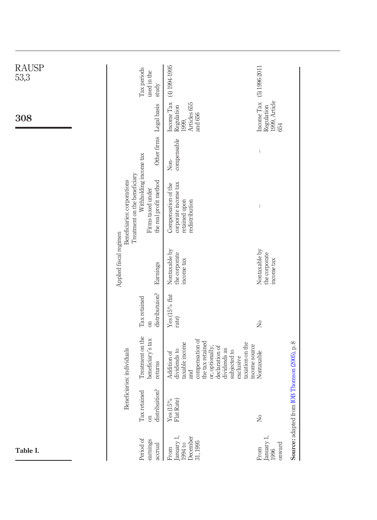| <b>RAUSP</b><br>53,3 |                                                             | Tax periods<br>used in the<br>study                                   | (4) 1994-1995                                                                                                                                                                                    | $(5)$ 1996-2011                                  |                                               |
|----------------------|-------------------------------------------------------------|-----------------------------------------------------------------------|--------------------------------------------------------------------------------------------------------------------------------------------------------------------------------------------------|--------------------------------------------------|-----------------------------------------------|
| 308                  |                                                             | Legal basis                                                           | Income Tax<br>Articles 655<br>Regulation<br>and 656<br>1999,                                                                                                                                     | Income Tax<br>Regulation<br>1999, Article<br>654 |                                               |
|                      |                                                             | Other firms                                                           | compensable<br>Non-                                                                                                                                                                              | $\begin{array}{c} \hline \end{array}$            |                                               |
|                      | Treatment on the beneficiary<br>Beneficiaries: corporations | Withholding income tax<br>the real profit method<br>Firms taxed under | corporate income tax<br>Compensation of the<br>redistribution<br>retained upon                                                                                                                   | ľ                                                |                                               |
|                      | Applied fiscal regimen                                      | Earnings                                                              | Nontaxable by<br>the corporate<br>income tax                                                                                                                                                     | Nontaxable by<br>the corporate<br>income tax     |                                               |
|                      |                                                             | distributuion?<br>Tax retained<br>$\overline{a}$                      | Yes (15% flat<br>rate)                                                                                                                                                                           | $\tilde{z}$                                      |                                               |
|                      | Beneficiaries: individuals                                  | Treatment on the<br>beneficiary's tax<br>returns                      | compensation of<br>the tax retained<br>taxable income<br>taxation on the<br>or, optionally,<br>declaration of<br>dividends as<br>dividends to<br>subjected to<br>Addition of<br>exclusive<br>and | income source<br>Nontaxable                      |                                               |
|                      |                                                             | distribuition?<br>Tax retained<br>$\overline{5}$                      | $\frac{\text{Yes (15\%)} }{\text{Flat Rate}}$                                                                                                                                                    | $\rm \stackrel{\circ}{\simeq}$                   | Source: adapted from IOB Thomson (2005), p. 8 |
| Table I.             |                                                             | Period of<br>earnings<br>accrual                                      | December<br>31, 1995<br>January<br>1994 to<br>From                                                                                                                                               | January 1,<br>onward<br>From<br>1996             |                                               |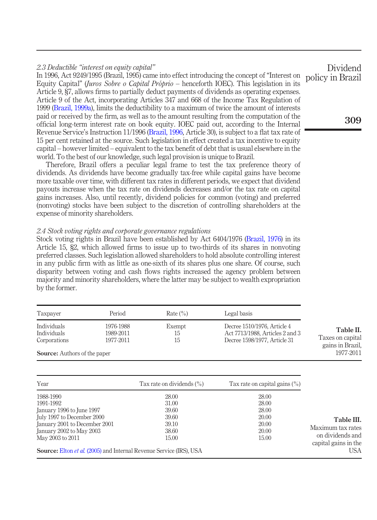## 2.3 Deductible "interest on equity capital"

In 1996, Act 9249/1995 (Brazil, 1995) came into effect introducing the concept of "Interest on Equity Capital" (Juros Sobre o Capital Próprio – henceforth IOEC). This legislation in its Article 9, §7, allows firms to partially deduct payments of dividends as operating expenses. Article 9 of the Act, incorporating Articles 347 and 668 of the Income Tax Regulation of 1999 [\(Brazil, 1999a](#page-17-4)), limits the deductibility to a maximum of twice the amount of interests paid or received by the firm, as well as to the amount resulting from the computation of the official long-term interest rate on book equity. IOEC paid out, according to the Internal Revenue Service's Instruction 11/1996 ([Brazil, 1996](#page-17-5), Article 30), is subject to a flat tax rate of 15 per cent retained at the source. Such legislation in effect created a tax incentive to equity capital – however limited – equivalent to the tax benefit of debt that is usual elsewhere in the world. To the best of our knowledge, such legal provision is unique to Brazil. policy in Brazil

Therefore, Brazil offers a peculiar legal frame to test the tax preference theory of dividends. As dividends have become gradually tax-free while capital gains have become more taxable over time, with different tax rates in different periods, we expect that dividend payouts increase when the tax rate on dividends decreases and/or the tax rate on capital gains increases. Also, until recently, dividend policies for common (voting) and preferred (nonvoting) stocks have been subject to the discretion of controlling shareholders at the expense of minority shareholders.

#### 2.4 Stock voting rights and corporate governance regulations

Stock voting rights in Brazil have been established by Act 6404/1976 ([Brazil, 1976\)](#page-16-3) in its Article 15, §2, which allowed firms to issue up to two-thirds of its shares in nonvoting preferred classes. Such legislation allowed shareholders to hold absolute controlling interest in any public firm with as little as one-sixth of its shares plus one share. Of course, such disparity between voting and cash flows rights increased the agency problem between majority and minority shareholders, where the latter may be subject to wealth expropriation by the former.

| Taxpayer                                                                          | Period                              | Rate $\binom{0}{0}$ | Legal basis                                                                                    |                                                                |
|-----------------------------------------------------------------------------------|-------------------------------------|---------------------|------------------------------------------------------------------------------------------------|----------------------------------------------------------------|
| Individuals<br>Individuals<br>Corporations<br><b>Source:</b> Authors of the paper | 1976-1988<br>1989-2011<br>1977-2011 | Exempt<br>15<br>15  | Decree 1510/1976, Article 4<br>Act 7713/1988, Articles 2 and 3<br>Decree 1598/1977, Article 31 | Table II.<br>Taxes on capital<br>gains in Brazil.<br>1977-2011 |

<span id="page-5-1"></span>

| Year                                                                              | Tax rate on dividends $(\% )$ | Tax rate on capital gains $(\%)$ |                                          |
|-----------------------------------------------------------------------------------|-------------------------------|----------------------------------|------------------------------------------|
| 1988-1990                                                                         | 28.00                         | 28.00                            |                                          |
| 1991-1992<br>January 1996 to June 1997                                            | 31.00<br>39.60                | 28.00<br>28.00                   |                                          |
| July 1997 to December 2000                                                        | 39.60                         | 20.00                            | Table III.                               |
| January 2001 to December 2001                                                     | 39.10                         | 20.00                            | Maximum tax rates                        |
| January 2002 to May 2003                                                          | 38.60                         | 20.00                            |                                          |
| May 2003 to 2011                                                                  | 15.00                         | 15.00                            | on dividends and<br>capital gains in the |
| <b>Source:</b> Elton <i>et al.</i> (2005) and Internal Revenue Service (IRS), USA |                               |                                  | USA.                                     |

Dividend

<span id="page-5-0"></span>309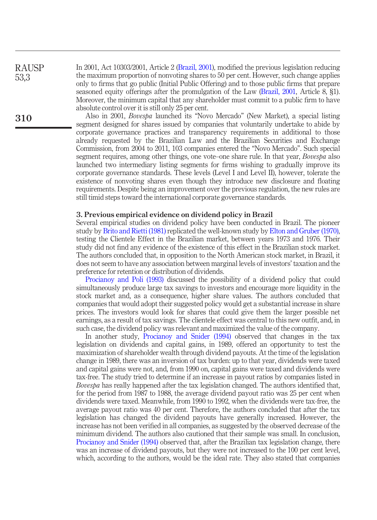RAUSP 53,3

In 2001, Act 10303/2001, Article 2 [\(Brazil, 2001\)](#page-17-3), modified the previous legislation reducing the maximum proportion of nonvoting shares to 50 per cent. However, such change applies only to firms that go public (Initial Public Offering) and to those public firms that prepare seasoned equity offerings after the promulgation of the Law ([Brazil, 2001](#page-17-3), Article 8, §1). Moreover, the minimum capital that any shareholder must commit to a public firm to have absolute control over it is still only 25 per cent.

Also in 2001, Bovespa launched its "Novo Mercado" (New Market), a special listing segment designed for shares issued by companies that voluntarily undertake to abide by corporate governance practices and transparency requirements in additional to those already requested by the Brazilian Law and the Brazilian Securities and Exchange Commission, from 2004 to 2011, 103 companies entered the "Novo Mercado". Such special segment requires, among other things, one vote–one share rule. In that year, *Bovespa* also launched two intermediary listing segments for firms wishing to gradually improve its corporate governance standards. These levels (Level I and Level II), however, tolerate the existence of nonvoting shares even though they introduce new disclosure and floating requirements. Despite being an improvement over the previous regulation, the new rules are still timid steps toward the international corporate governance standards.

#### 3. Previous empirical evidence on dividend policy in Brazil

Several empirical studies on dividend policy have been conducted in Brazil. The pioneer study by [Brito and Rietti \(1981\)](#page-17-6) replicated the well-known study by [Elton and Gruber \(1970\)](#page-17-7), testing the Clientele Effect in the Brazilian market, between years 1973 and 1976. Their study did not find any evidence of the existence of this effect in the Brazilian stock market. The authors concluded that, in opposition to the North American stock market, in Brazil, it does not seem to have any association between marginal levels of investors' taxation and the preference for retention or distribution of dividends.

[Procianoy and Poli \(1993\)](#page-18-1) discussed the possibility of a dividend policy that could simultaneously produce large tax savings to investors and encourage more liquidity in the stock market and, as a consequence, higher share values. The authors concluded that companies that would adopt their suggested policy would get a substantial increase in share prices. The investors would look for shares that could give them the larger possible net earnings, as a result of tax savings. The clientele effect was central to this new outfit, and, in such case, the dividend policy was relevant and maximized the value of the company.

In another study, [Procianoy and Snider \(1994\)](#page-18-2) observed that changes in the tax legislation on dividends and capital gains, in 1989, offered an opportunity to test the maximization of shareholder wealth through dividend payouts. At the time of the legislation change in 1989, there was an inversion of tax burden: up to that year, dividends were taxed and capital gains were not, and, from 1990 on, capital gains were taxed and dividends were tax-free. The study tried to determine if an increase in payout ratios by companies listed in Bovespa has really happened after the tax legislation changed. The authors identified that, for the period from 1987 to 1988, the average dividend payout ratio was 25 per cent when dividends were taxed. Meanwhile, from 1990 to 1992, when the dividends were tax-free, the average payout ratio was 40 per cent. Therefore, the authors concluded that after the tax legislation has changed the dividend payouts have generally increased. However, the increase has not been verified in all companies, as suggested by the observed decrease of the minimum dividend. The authors also cautioned that their sample was small. In conclusion, [Procianoy and Snider \(1994\)](#page-18-2) observed that, after the Brazilian tax legislation change, there was an increase of dividend payouts, but they were not increased to the 100 per cent level, which, according to the authors, would be the ideal rate. They also stated that companies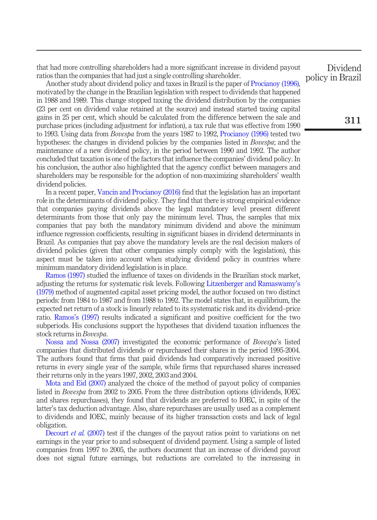that had more controlling shareholders had a more significant increase in dividend payout ratios than the companies that had just a single controlling shareholder.

Another study about dividend policy and taxes in Brazil is the paper of [Procianoy \(1996\)](#page-18-3), motivated by the change in the Brazilian legislation with respect to dividends that happened in 1988 and 1989. This change stopped taxing the dividend distribution by the companies (23 per cent on dividend value retained at the source) and instead started taxing capital gains in 25 per cent, which should be calculated from the difference between the sale and purchase prices (including adjustment for inflation), a tax rule that was effective from 1990 to 1993. Using data from Bovespa from the years 1987 to 1992, [Procianoy \(1996\)](#page-18-3) tested two hypotheses: the changes in dividend policies by the companies listed in *Bovespa*; and the maintenance of a new dividend policy, in the period between 1990 and 1992. The author concluded that taxation is one of the factors that influence the companies' dividend policy. In his conclusion, the author also highlighted that the agency conflict between managers and shareholders may be responsible for the adoption of non-maximizing shareholders' wealth dividend policies.

In a recent paper, [Vancin and Procianoy \(2016\)](#page-19-1) find that the legislation has an important role in the determinants of dividend policy. They find that there is strong empirical evidence that companies paying dividends above the legal mandatory level present different determinants from those that only pay the minimum level. Thus, the samples that mix companies that pay both the mandatory minimum dividend and above the minimum influence regression coefficients, resulting in significant biases in dividend determinants in Brazil. As companies that pay above the mandatory levels are the real decision makers of dividend policies (given that other companies simply comply with the legislation), this aspect must be taken into account when studying dividend policy in countries where minimum mandatory dividend legislation is in place.

[Ramos \(1997\)](#page-18-4) studied the influence of taxes on dividends in the Brazilian stock market, adjusting the returns for systematic risk levels. Following [Litzenberger and Ramaswamy](#page-18-5)'s [\(1979\)](#page-18-5) method of augmented capital asset pricing model, the author focused on two distinct periods: from 1984 to 1987 and from 1988 to 1992. The model states that, in equilibrium, the expected net return of a stock is linearly related to its systematic risk and its dividend–price ratio. Ramos'[s \(1997\)](#page-18-4) results indicated a significant and positive coefficient for the two subperiods. His conclusions support the hypotheses that dividend taxation influences the stock returns in Bovespa.

[Nossa and Nossa \(2007\)](#page-18-6) investigated the economic performance of Bovespa's listed companies that distributed dividends or repurchased their shares in the period 1995-2004. The authors found that firms that paid dividends had comparatively increased positive returns in every single year of the sample, while firms that repurchased shares increased their returns only in the years 1997, 2002, 2003 and 2004.

[Mota and Eid \(2007\)](#page-18-7) analyzed the choice of the method of payout policy of companies listed in Bovespa from 2002 to 2005. From the three distribution options (dividends, IOEC and shares repurchases), they found that dividends are preferred to IOEC, in spite of the latter's tax deduction advantage. Also, share repurchases are usually used as a complement to dividends and IOEC, mainly because of its higher transaction costs and lack of legal obligation.

[Decourt](#page-17-8) *et al.* (2007) test if the changes of the payout ratios point to variations on net earnings in the year prior to and subsequent of dividend payment. Using a sample of listed companies from 1997 to 2005, the authors document that an increase of dividend payout does not signal future earnings, but reductions are correlated to the increasing in

Dividend policy in Brazil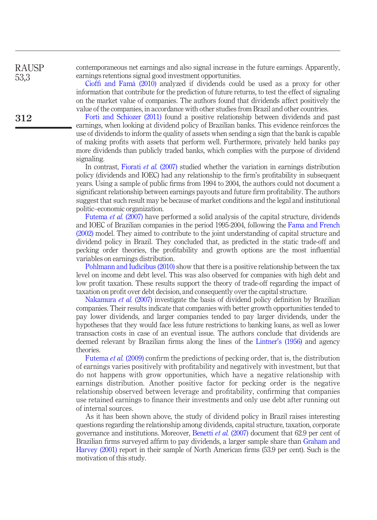RAUSP 53,3

312

contemporaneous net earnings and also signal increase in the future earnings. Apparently, earnings retentions signal good investment opportunities.

Cioffi [and Famá \(2010\)](#page-17-9) analyzed if dividends could be used as a proxy for other information that contribute for the prediction of future returns, to test the effect of signaling on the market value of companies. The authors found that dividends affect positively the value of the companies, in accordance with other studies from Brazil and other countries.

[Forti and Schiozer \(2011\)](#page-17-10) found a positive relationship between dividends and past earnings, when looking at dividend policy of Brazilian banks. This evidence reinforces the use of dividends to inform the quality of assets when sending a sign that the bank is capable of making profits with assets that perform well. Furthermore, privately held banks pay more dividends than publicly traded banks, which complies with the purpose of dividend signaling.

In contrast, [Fiorati](#page-17-11) *et al.* (2007) studied whether the variation in earnings distribution policy (dividends and IOEC) had any relationship to the firm's profitability in subsequent years. Using a sample of public firms from 1994 to 2004, the authors could not document a significant relationship between earnings payouts and future firm profitability. The authors suggest that such result may be because of market conditions and the legal and institutional politic–economic organization.

[Futema](#page-18-8) *et al.* (2007) have performed a solid analysis of the capital structure, dividends and IOEC of Brazilian companies in the period 1995-2004, following the [Fama and French](#page-17-12) [\(2002\)](#page-17-12) model. They aimed to contribute to the joint understanding of capital structure and dividend policy in Brazil. They concluded that, as predicted in the static trade-off and pecking order theories, the profitability and growth options are the most influential variables on earnings distribution.

[Pohlmann and Iudícibus \(2010\)](#page-18-9) show that there is a positive relationship between the tax level on income and debt level. This was also observed for companies with high debt and low profit taxation. These results support the theory of trade-off regarding the impact of taxation on profit over debt decision, and consequently over the capital structure.

[Nakamura](#page-18-10) *et al.* (2007) investigate the basis of dividend policy definition by Brazilian companies. Their results indicate that companies with better growth opportunities tended to pay lower dividends, and larger companies tended to pay larger dividends, under the hypotheses that they would face less future restrictions to banking loans, as well as lower transaction costs in case of an eventual issue. The authors conclude that dividends are deemed relevant by Brazilian firms along the lines of the Lintner'[s \(1956\)](#page-18-11) and agency theories.

[Futema](#page-18-12) *et al.* (2009) confirm the predictions of pecking order, that is, the distribution of earnings varies positively with profitability and negatively with investment, but that do not happens with grow opportunities, which have a negative relationship with earnings distribution. Another positive factor for pecking order is the negative relationship observed between leverage and profitability, confirming that companies use retained earnings to finance their investments and only use debt after running out of internal sources.

As it has been shown above, the study of dividend policy in Brazil raises interesting questions regarding the relationship among dividends, capital structure, taxation, corporate governance and institutions. Moreover, [Benetti](#page-16-4) et al. (2007) document that 62.9 per cent of Brazilian firms surveyed affirm to pay dividends, a larger sample share than [Graham and](#page-18-13) [Harvey \(2001\)](#page-18-13) report in their sample of North American firms (53.9 per cent). Such is the motivation of this study.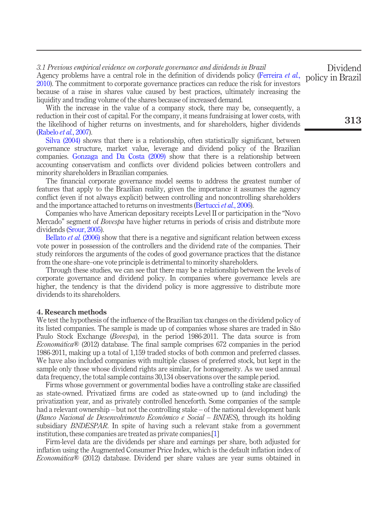## 3.1 Previous empirical evidence on corporate governance and dividends in Brazil Agency problems have a central role in the definition of dividends policy [\(Ferreira](#page-17-13) et al.,

[2010\)](#page-17-13). The commitment to corporate governance practices can reduce the risk for investors because of a raise in shares value caused by best practices, ultimately increasing the liquidity and trading volume of the shares because of increased demand.

With the increase in the value of a company stock, there may be, consequently, a reduction in their cost of capital. For the company, it means fundraising at lower costs, with the likelihood of higher returns on investments, and for shareholders, higher dividends [\(Rabelo](#page-18-14) et al., 2007).

[Silva \(2004\)](#page-19-2) shows that there is a relationship, often statistically significant, between governance structure, market value, leverage and dividend policy of the Brazilian companies. [Gonzaga and Da Costa \(2009\)](#page-18-15) show that there is a relationship between accounting conservatism and conflicts over dividend policies between controllers and minority shareholders in Brazilian companies.

The financial corporate governance model seems to address the greatest number of features that apply to the Brazilian reality, given the importance it assumes the agency conflict (even if not always explicit) between controlling and noncontrolling shareholders and the importance attached to returns on investments [\(Bertucci](#page-16-5) et al., 2006).

Companies who have American depositary receipts Level II or participation in the "Novo Mercado" segment of *Bovespa* have higher returns in periods of crisis and distribute more dividends [\(Srour, 2005\)](#page-19-3).

[Bellato](#page-16-6) *et al.* (2006) show that there is a negative and significant relation between excess vote power in possession of the controllers and the dividend rate of the companies. Their study reinforces the arguments of the codes of good governance practices that the distance from the one share–one vote principle is detrimental to minority shareholders.

Through these studies, we can see that there may be a relationship between the levels of corporate governance and dividend policy. In companies where governance levels are higher, the tendency is that the dividend policy is more aggressive to distribute more dividends to its shareholders.

#### 4. Research methods

We test the hypothesis of the influence of the Brazilian tax changes on the dividend policy of its listed companies. The sample is made up of companies whose shares are traded in São Paulo Stock Exchange (*Bovespa*), in the period 1986-2011. The data source is from *Economática*<sup>®</sup> (2012) database. The final sample comprises 672 companies in the period 1986-2011, making up a total of 1,159 traded stocks of both common and preferred classes. We have also included companies with multiple classes of preferred stock, but kept in the sample only those whose dividend rights are similar, for homogeneity. As we used annual data frequency, the total sample contains 30,134 observations over the sample period.

Firms whose government or governmental bodies have a controlling stake are classified as state-owned. Privatized firms are coded as state-owned up to (and including) the privatization year, and as privately controlled henceforth. Some companies of the sample had a relevant ownership – but not the controlling stake – of the national development bank (Banco Nacional de Desenvolvimento Econômico e Social – BNDES), through its holding subsidiary BNDESPAR. In spite of having such a relevant stake from a government institution, these companies are treated as private companies.[[1](#page-16-7)]

Firm-level data are the dividends per share and earnings per share, both adjusted for inflation using the Augmented Consumer Price Index, which is the default inflation index of Economática<sup>®</sup> (2012) database. Dividend per share values are year sums obtained in

Dividend policy in Brazil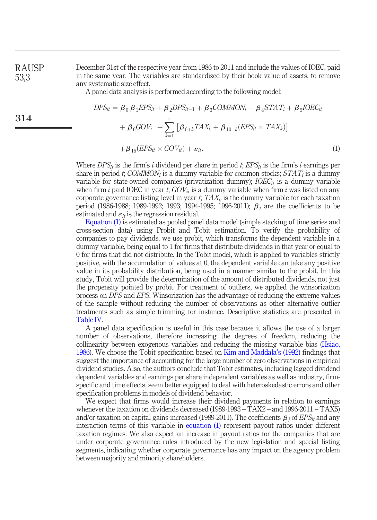<span id="page-10-0"></span>RAUSP 53,3

314

December 31st of the respective year from 1986 to 2011 and include the values of IOEC, paid in the same year. The variables are standardized by their book value of assets, to remove any systematic size effect.

A panel data analysis is performed according to the following model:

$$
DPS_{it} = \beta_0 \beta_1 EPS_{it} + \beta_2 DPS_{it-1} + \beta_3 COMMON_i + \beta_4 STAT_i + \beta_5 IOEC_{it}
$$
  
+  $\beta_6 GOV_i$  +  $\sum_{k=1}^{4} [\beta_{6+k} TAX_k + \beta_{10+k} (EPS_{it} \times TAX_k)]$   
+  $\beta_{15} (EPS_{it} \times GOV_{it}) + \varepsilon_{it}.$  (1)

Where  $DPS_{it}$  is the firm's i dividend per share in period t;  $EPS_{it}$  is the firm's i earnings per share in period t; COMMON<sub>i</sub> is a dummy variable for common stocks;  $STAT_i$  is a dummy variable for state-owned companies (privatization dummy);  $IOEC_{it}$  is a dummy variable when firm i paid IOEC in year t;  $GOV_{it}$  is a dummy variable when firm i was listed on any corporate governance listing level in year  $t$ ;  $TAX_k$  is the dummy variable for each taxation period (1986-1988; 1989-1992; 1993; 1994-1995; 1996-2011);  $\beta_i$  are the coefficients to be estimated and  $\varepsilon_{it}$  is the regression residual.

Equation (1) is estimated as pooled panel data model (simple stacking of time series and cross-section data) using Probit and Tobit estimation. To verify the probability of companies to pay dividends, we use probit, which transforms the dependent variable in a dummy variable, being equal to 1 for firms that distribute dividends in that year or equal to 0 for firms that did not distribute. In the Tobit model, which is applied to variables strictly positive, with the accumulation of values at 0, the dependent variable can take any positive value in its probability distribution, being used in a manner similar to the probit. In this study, Tobit will provide the determination of the amount of distributed dividends, not just the propensity pointed by probit. For treatment of outliers, we applied the winsorization process on DPS and EPS. Winsorization has the advantage of reducing the extreme values of the sample without reducing the number of observations as other alternative outlier treatments such as simple trimming for instance. Descriptive statistics are presented in [Table IV](#page-11-0).

A panel data specification is useful in this case because it allows the use of a larger number of observations, therefore increasing the degrees of freedom, reducing the collinearity between exogenous variables and reducing the missing variable bias ([Hsiao,](#page-18-16) [1986](#page-18-16)). We choose the Tobit specification based on [Kim and Maddala](#page-18-17)'s (1992) findings that suggest the importance of accounting for the large number of zero observations in empirical dividend studies. Also, the authors conclude that Tobit estimates, including lagged dividend dependent variables and earnings per share independent variables as well as industry, firmspecific and time effects, seem better equipped to deal with heteroskedastic errors and other specification problems in models of dividend behavior.

We expect that firms would increase their dividend payments in relation to earnings whenever the taxation on dividends decreased (1989-1993 – TAX2 – and 1996-2011 – TAX5) and/or taxation on capital gains increased (1989-2011). The coefficients  $\beta_i$  of EPS<sub>it</sub> and any interaction terms of this variable in equation (1) represent payout ratios under different taxation regimes. We also expect an increase in payout ratios for the companies that are under corporate governance rules introduced by the new legislation and special listing segments, indicating whether corporate governance has any impact on the agency problem between majority and minority shareholders.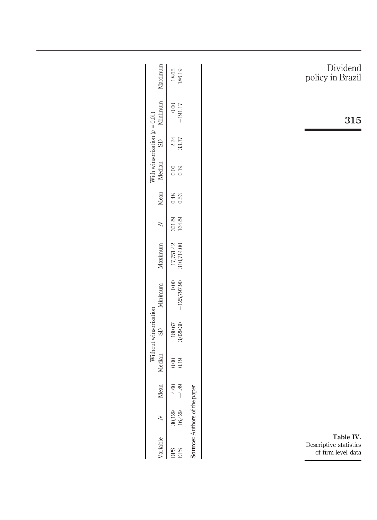<span id="page-11-0"></span>

| Maximum                                     | $18.65$<br>$186.19$                                                                          |                              | Dividend<br>policy in Brazil                              |
|---------------------------------------------|----------------------------------------------------------------------------------------------|------------------------------|-----------------------------------------------------------|
| Minimum                                     | $\begin{array}{c} 0.00 \\ \text{T} \text{L} \text{I} \text{G} \text{I} \text{-} \end{array}$ |                              | 315                                                       |
| With winsorization $(p = 0.01)$<br>$\Omega$ | $\begin{array}{c} 2.24 \\ 33.37 \end{array}$                                                 |                              |                                                           |
| Median                                      |                                                                                              |                              |                                                           |
| Mean                                        | $\begin{array}{c} 0.48 \\ 0.53 \end{array}$                                                  |                              |                                                           |
| $\geq$                                      | 30129<br>16429                                                                               |                              |                                                           |
| Maximum                                     | $\begin{array}{c} 17{,}751{,}42 \\ 310{,}714{,}00 \end{array}$                               |                              |                                                           |
| Minimum                                     | $-125,797.90$                                                                                |                              |                                                           |
| Without winsorization<br>$\Omega$           | $180.67$<br>$3,029.30$                                                                       |                              |                                                           |
| Median                                      |                                                                                              |                              |                                                           |
| Mean                                        | $^{4.60}_{-4.89}$                                                                            |                              |                                                           |
| $\geq$                                      | 30,129<br>16,429                                                                             |                              |                                                           |
| Variable                                    | <b>DPS</b><br>EPS                                                                            | Source: Authors of the paper | Table IV.<br>Descriptive statistics<br>of firm-level data |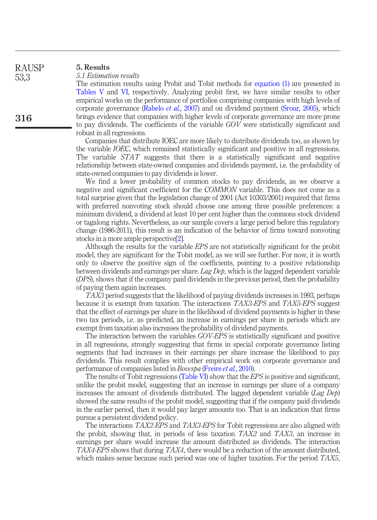| <b>RAUSP</b> | 5. Results                                                  |
|--------------|-------------------------------------------------------------|
| 53,3         | 5.1 Estimation results<br>The estimation result             |
|              | $T_{\rm{min}}$ $T_{\rm{max}}$ $T_{\rm{max}}$ $T_{\rm{max}}$ |

316

esults using Probit and Tobit methods for [equation \(1\)](#page-10-0) are presented in [Tables V](#page-13-0) and [VI,](#page-14-0) respectively. Analyzing probit first, we have similar results to other empirical works on the performance of portfolios comprising companies with high levels of corporate governance [\(Rabelo](#page-18-14) *et al.*, 2007) and on dividend payment [\(Srour, 2005](#page-19-3)), which brings evidence that companies with higher levels of corporate governance are more prone to pay dividends. The coefficients of the variable GOV were statistically significant and robust in all regressions.

Companies that distribute IOEC are more likely to distribute dividends too, as shown by the variable IOEC, which remained statistically significant and positive in all regressions. The variable  $STAT$  suggests that there is a statistically significant and negative relationship between state-owned companies and dividends payment, i.e. the probability of state-owned companies to pay dividends is lower.

We find a lower probability of common stocks to pay dividends, as we observe a negative and significant coefficient for the COMMON variable. This does not come as a total surprise given that the legislation change of 2001 (Act 10303/2001) required that firms with preferred nonvoting stock should choose one among three possible preferences: a minimum dividend, a dividend at least 10 per cent higher than the commons stock dividend or tagalong rights. Nevertheless, as our sample covers a large period before this regulatory change (1986-2011), this result is an indication of the behavior of firms toward nonvoting stocks in a more ample perspective<sup>[\[2\]](#page-16-8)</sup>.

Although the results for the variable EPS are not statistically significant for the probit model, they are significant for the Tobit model, as we will see further. For now, it is worth only to observe the positive sign of the coefficients, pointing to a positive relationship between dividends and earnings per share. Lag Dep, which is the lagged dependent variable (DPS), shows that if the company paid dividends in the previous period, then the probability of paying them again increases.

TAX3 period suggests that the likelihood of paying dividends increases in 1993, perhaps because it is exempt from taxation. The interactions TAX3-EPS and TAX5-EPS suggest that the effect of earnings per share in the likelihood of dividend payments is higher in these two tax periods, i.e. as predicted, an increase in earnings per share in periods which are exempt from taxation also increases the probability of dividend payments.

The interaction between the variables GOV-EPS is statistically significant and positive in all regressions, strongly suggesting that firms in special corporate governance listing segments that had increases in their earnings per share increase the likelihood to pay dividends. This result complies with other empirical work on corporate governance and performance of companies listed in *Bovespa* [\(Freire](#page-17-14) *et al.*, 2010).

The results of Tobit regressions ([Table VI](#page-14-0)) show that the *EPS* is positive and significant, unlike the probit model, suggesting that an increase in earnings per share of a company increases the amount of dividends distributed. The lagged dependent variable ( $Lag Deb$ ) showed the same results of the probit model, suggesting that if the company paid dividends in the earlier period, then it would pay larger amounts too. That is an indication that firms pursue a persistent dividend policy.

The interactions TAX2-EPS and TAX3-EPS for Tobit regressions are also aligned with the probit, showing that, in periods of less taxation TAX2 and TAX3, an increase in earnings per share would increase the amount distributed as dividends. The interaction TAX4-EPS shows that during TAX4, there would be a reduction of the amount distributed, which makes sense because such period was one of higher taxation. For the period  $TAX5$ ,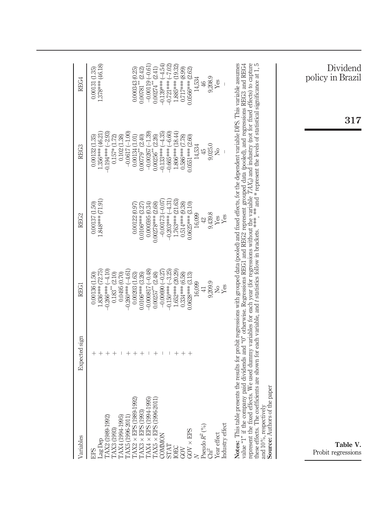<span id="page-13-0"></span>

| Variables<br><b>EPS</b>                                                                                                                                                                                                                                                                                                                               | Expected sign                                                                                                                                                                                                                                                                                                                                                                                                                                                                                                                                                                                                                             | <b>REG1</b>                                                                                                                                                                                                                                                                          | REG2                                                                                                                                                                                                                             | REG3                                                                                                                                                                                                                                   | REG4                                                                                                                                                                                                                              |
|-------------------------------------------------------------------------------------------------------------------------------------------------------------------------------------------------------------------------------------------------------------------------------------------------------------------------------------------------------|-------------------------------------------------------------------------------------------------------------------------------------------------------------------------------------------------------------------------------------------------------------------------------------------------------------------------------------------------------------------------------------------------------------------------------------------------------------------------------------------------------------------------------------------------------------------------------------------------------------------------------------------|--------------------------------------------------------------------------------------------------------------------------------------------------------------------------------------------------------------------------------------------------------------------------------------|----------------------------------------------------------------------------------------------------------------------------------------------------------------------------------------------------------------------------------|----------------------------------------------------------------------------------------------------------------------------------------------------------------------------------------------------------------------------------------|-----------------------------------------------------------------------------------------------------------------------------------------------------------------------------------------------------------------------------------|
| TAX2 (1989-1992)<br>TAX4 (1994-1995)<br>TAX5 (1996-2011<br>TAX3 (1993)<br>Lag Dep                                                                                                                                                                                                                                                                     | $^+$<br>$^{+}$<br>$\hspace{0.1mm} +\hspace{0.1mm}$<br>$^+$<br>$\mathbf{I}$                                                                                                                                                                                                                                                                                                                                                                                                                                                                                                                                                                | $-0.266***(-4.10)$<br>$.836***$ (72.75)<br>$-0.260***(-4.61)$<br>$0.183**$ (2.10)<br>0.0495 (0.70)<br>0.00136 (1.50)                                                                                                                                                                 | 1.848*** (71.91)<br>0.00137(1.50)                                                                                                                                                                                                | $-0.194***(-2.93)$<br>$-0.0617(-1.00)$<br>1.356*** (46.21<br>$0.157*$ $(1.72)$<br>0.102(1.38)<br>$0.00132$ $(1.35)$                                                                                                                    | 1.378*** (46.18)<br>0.00131 (1.35)                                                                                                                                                                                                |
| $\mathrm{TAX2}\times\mathrm{EPS}$ (1989-1992)<br>$\begin{array}{ll} \text{TAX3}\times\text{EPS}\,(1993)\\ \text{TAX4}\times\text{EPS}\,(1994\text{-}1995) \end{array}$<br>$\mathrm{TAXS}\times\mathrm{EPS}$ (1996-2011<br>Industry effect<br>Pseudo $R^2$<br>$(^{\circ}\!/\!\!\circ)$ Chi $^2$<br>$\mathrm{GOV}\times\mathrm{EPS}$<br>Year effect<br> | represent the fixed effects. We used dummy variables for each year (for regressions without the variable $7AX_k$ ) and industry (not for fixed effects) to capture these effects. The ovefficients are shown for each variable, a<br>Notes: This table presents the results for probit regressions with grouped data (pooled) and fixed effects, for the dependent variable DFS. This variable assumes<br>value "1" if the company paid dividends and "0" otherwise. Regressions REG1 and REG2 represent grouped data (pooled), and regressions REG3 and REG4<br>$^{+}$<br>$^{+}$<br>$\mathbf{I}$<br>$^+$<br>$^{+}$<br>т.<br>$\mathbf{I}$ | $\begin{array}{c} -0.000817\,(-0.48) \\ 0.00257^{**}\,(2.48) \end{array}$<br>$0.150***(-3.25)$<br>1.652*** (20.29)<br>$-0.00690(-0.27)$<br>0.00203(1.63)<br>0.0106***(3.26)<br>$0.334***$ (6.58)<br>0.0628*** (3.13)<br>9,209.9<br>16,099<br>$\frac{1}{2}$<br>Yes<br>$\overline{41}$ | 1.763*** (21.63)<br>$-0.203***(-4.31)$<br>$-0.00173(-0.07$<br>$0.514***$ (9.38)<br>$0.0625***$ (3.10)<br>0.000595(0.34)<br>$0.00278***$ (2.68)<br>0.00122(0.97)<br>$0.0106***$ (3.27)<br>9,439.8<br>16,099<br>Yes<br>Yes<br>$42$ | $-0.00267(-1.39)$<br>1.806*** (18.44)<br>$-0.133***(-4.35)$<br>$-0.665***(-6.60)$<br>0.00134(1.01)<br>(2.40)<br>$0.586***$ (7.78)<br>(2.26)<br>$0.0551***$ (2.60)<br>9,025.0<br>14,534<br>Σó<br>45<br>$0.00779**$<br>$0.00256$ $^{**}$ | $-0.139***(-4.54$<br>$(-7.02)$<br>1.885*** (19.32)<br>$-0.00119(-0.61$<br>$0.00274**$ (2.41)<br>$0.717***$ (8.99)<br>0.000343 (0.25)<br>$0.00781**$ (2.42)<br>0.0566*** (2.62)<br>$9,208.9$<br>Yes<br>14,534<br>$-0.721***$<br>46 |
| Source: Authors of the paper<br>and 10%, respectively<br>Table V.<br>Probit regressions                                                                                                                                                                                                                                                               |                                                                                                                                                                                                                                                                                                                                                                                                                                                                                                                                                                                                                                           |                                                                                                                                                                                                                                                                                      |                                                                                                                                                                                                                                  | $317\,$                                                                                                                                                                                                                                | Dividend<br>policy in Brazil                                                                                                                                                                                                      |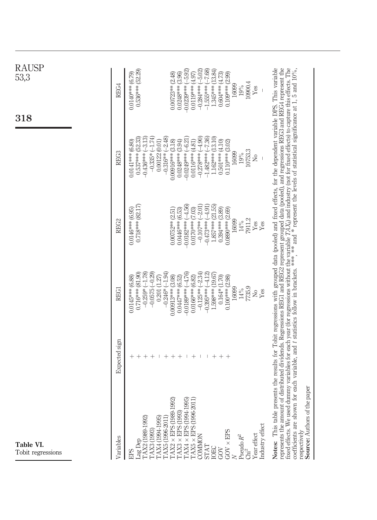<span id="page-14-0"></span>

| <b>RAUSP</b><br>53,3<br>318    | REG4          | $0.0140***$ (6.79) | $0.536***$ (52.29) |                    |                        |        |                          |                    | $0.00723**$ (2.48)                              | $0.0248***$ (3.96)                                                    | $-0.0239***(-5.92)$           | $0.0119***$ (4.97)         |        | $(-5.02)$<br>$-0.284***$ | $(-7.68)$<br>$-1.555***$ | 1.345*** (13.84)   | $0.604***$ (4.73)  | $0.109***$ (2.99)  | 16099          | 19%    | 10900.4                          | Yes                  |                 |                                                                                                                                                                                                                                                                                                                                                                     |
|--------------------------------|---------------|--------------------|--------------------|--------------------|------------------------|--------|--------------------------|--------------------|-------------------------------------------------|-----------------------------------------------------------------------|-------------------------------|----------------------------|--------|--------------------------|--------------------------|--------------------|--------------------|--------------------|----------------|--------|----------------------------------|----------------------|-----------------|---------------------------------------------------------------------------------------------------------------------------------------------------------------------------------------------------------------------------------------------------------------------------------------------------------------------------------------------------------------------|
|                                | REG3          | $0.0141***$ (6.80) | $0.537***$ (52.33) | $-0.436***(-3.13)$ | $(-1.74)$<br>$-0.335*$ |        | 0.00122(0.01)            | $-0.316**(-2.48)$  | $0.00916***$ (3.18)                             | $0.0248***$ (3.94)                                                    | $-0.0249***(-6.21)$           | $0.0116***$ (4.81)         |        | $-0.278***(-4.90)$       | $-1.482***(-7.36)$       | 1.162*** (13.10)   | $0.501***$ (4.10)  | $0.110***$ (3.02)  | 16099          | 19%    | 10753.3                          | ż                    |                 |                                                                                                                                                                                                                                                                                                                                                                     |
|                                | REG2          | $0.0146***$ (6.95) | $0.718***82.17$    |                    |                        |        |                          |                    | $0.00752**$ (2.51)                              | $0.0446***$ (6.53)                                                    | $(-4.56)$<br>$-0.0182***$     | $0.0170***$ (7.03)         |        | $(-2.01)$<br>$-0.107***$ | $-0.473***(-4.91)$       | $1.857***$ (21.55) | $0.394***$ (3.89)  | $0.0890***$ (2.69) | 16099          | $14\%$ | 7911.2                           | $\operatorname{Yes}$ | Yes             |                                                                                                                                                                                                                                                                                                                                                                     |
|                                | <b>REG1</b>   | $0.0145***$ (6.88) | $0.716***$ (81.90) | $-0.259*(-1.78)$   | $-0.0575(-0.29)$       |        | 0.201(1.27)              | $-0.246*(-1.94)$   | $0.00913***$ (3.08)                             | $0.0447***$ (6.52)                                                    | $0.0189***$ (-4.76)           | $0.0166***$ (6.82)         |        | $-0.125**(-2.34)$        | $-0.395***(-4.12)$       | 1.598*** (19.67)   | $0.164*$ $(1.70)$  | $0.100***$ (2.98)  | 16099          | $14\%$ | 7735.9                           | $\frac{1}{2}$        | Yes             | of distributed dividends. Regressions REG1 and REG2 represent grouped data (pooled), and regressions REG3 and REG4 represent the<br>lummy variables for each year (for regressions without the variable $TAX_k$ ) and industry (not for fixed effects) to capture this effects. The for each variable, and t statistics follow in brackets. *** and * represent the |
|                                | Expected sign | $^+$               | $^{+}$             | $^{+}$             |                        | $^{+}$ | $\overline{\phantom{a}}$ | $\hspace{0.1mm} +$ | $^{+}$                                          |                                                                       | $\mathbf{I}$                  |                            | $^{+}$ | $\mathbb{I}$             | -1                       | $\hspace{0.1mm} +$ | $^{+}$             | $\qquad \qquad +$  |                |        |                                  |                      |                 |                                                                                                                                                                                                                                                                                                                                                                     |
| Table VI.<br>Tobit regressions | Variables     | <b>EPS</b>         | Lag Dep            | TAX2 (1989-1992)   | TAX3 (1993)            |        | TAX4(1994-1995           | TAX5 (1996-2011    | 92)<br>$\text{TAX2} \times \text{EFS}$ (1989-19 | $\mathrm{T}\mathrm{A}\mathrm{X}3 \times \mathrm{E}\mathrm{PS}$ (1993) | $TAX4 \times EPS (1994-1995)$ | ĭĤ<br>TAX5 × EPS (1996-20) |        | COMMON                   | <b>STAT</b>              |                    | <b>TOEC</b><br>GOV | $GOV \times EPS$   | $\overline{z}$ |        | Pseudo $R^2$<br>Chi <sup>2</sup> | Year effect          | Industry effect | Notes: This table presents the results for Tobit regressions with grouped data (pooled) and fixed effects, for the dependent variable DPS. This variable<br>e paper<br>coefficients are shown<br><b>Source: Authors of th</b><br>represents the amount<br>fixed effects. We used<br>respectively                                                                    |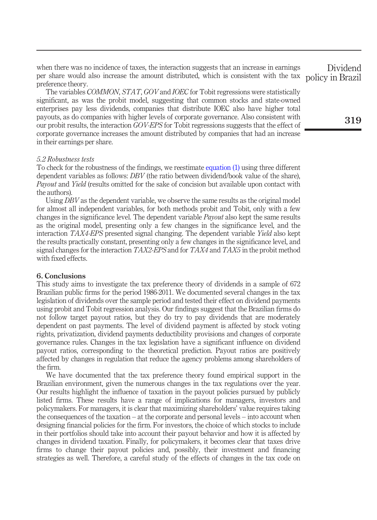when there was no incidence of taxes, the interaction suggests that an increase in earnings per share would also increase the amount distributed, which is consistent with the tax preference theory.

The variables COMMON, STAT, GOV and IOEC for Tobit regressions were statistically significant, as was the probit model, suggesting that common stocks and state-owned enterprises pay less dividends, companies that distribute IOEC also have higher total payouts, as do companies with higher levels of corporate governance. Also consistent with our probit results, the interaction GOV-EPS for Tobit regressions suggests that the effect of corporate governance increases the amount distributed by companies that had an increase in their earnings per share.

## 5.2 Robustness tests

To check for the robustness of the findings, we reestimate [equation \(1\)](#page-10-0) using three different dependent variables as follows: DBV (the ratio between dividend/book value of the share), Payout and Yield (results omitted for the sake of concision but available upon contact with the authors).

Using DBV as the dependent variable, we observe the same results as the original model for almost all independent variables, for both methods probit and Tobit, only with a few changes in the significance level. The dependent variable *Payout* also kept the same results as the original model, presenting only a few changes in the significance level, and the interaction TAX4-EPS presented signal changing. The dependent variable Yield also kept the results practically constant, presenting only a few changes in the significance level, and signal changes for the interaction  $TAX2$ -EPS and for  $TAX4$  and  $TAX5$  in the probit method with fixed effects.

## 6. Conclusions

This study aims to investigate the tax preference theory of dividends in a sample of 672 Brazilian public firms for the period 1986-2011. We documented several changes in the tax legislation of dividends over the sample period and tested their effect on dividend payments using probit and Tobit regression analysis. Our findings suggest that the Brazilian firms do not follow target payout ratios, but they do try to pay dividends that are moderately dependent on past payments. The level of dividend payment is affected by stock voting rights, privatization, dividend payments deductibility provisions and changes of corporate governance rules. Changes in the tax legislation have a significant influence on dividend payout ratios, corresponding to the theoretical prediction. Payout ratios are positively affected by changes in regulation that reduce the agency problems among shareholders of the firm.

We have documented that the tax preference theory found empirical support in the Brazilian environment, given the numerous changes in the tax regulations over the year. Our results highlight the influence of taxation in the payout policies pursued by publicly listed firms. These results have a range of implications for managers, investors and policymakers. For managers, it is clear that maximizing shareholders' value requires taking the consequences of the taxation – at the corporate and personal levels – into account when designing financial policies for the firm. For investors, the choice of which stocks to include in their portfolios should take into account their payout behavior and how it is affected by changes in dividend taxation. Finally, for policymakers, it becomes clear that taxes drive firms to change their payout policies and, possibly, their investment and financing strategies as well. Therefore, a careful study of the effects of changes in the tax code on

Dividend policy in Brazil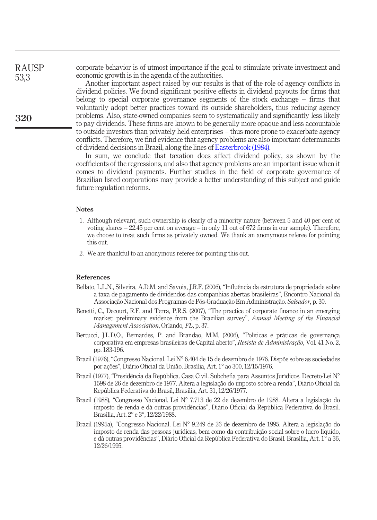corporate behavior is of utmost importance if the goal to stimulate private investment and economic growth is in the agenda of the authorities.

> Another important aspect raised by our results is that of the role of agency conflicts in dividend policies. We found significant positive effects in dividend payouts for firms that belong to special corporate governance segments of the stock exchange – firms that voluntarily adopt better practices toward its outside shareholders, thus reducing agency problems. Also, state-owned companies seem to systematically and significantly less likely to pay dividends. These firms are known to be generally more opaque and less accountable to outside investors than privately held enterprises – thus more prone to exacerbate agency conflicts. Therefore, we find evidence that agency problems are also important determinants of dividend decisions in Brazil, along the lines of [Easterbrook \(1984\)](#page-17-15).

> In sum, we conclude that taxation does affect dividend policy, as shown by the coefficients of the regressions, and also that agency problems are an important issue when it comes to dividend payments. Further studies in the field of corporate governance of Brazilian listed corporations may provide a better understanding of this subject and guide future regulation reforms.

## **Notes**

- <span id="page-16-7"></span>1. Although relevant, such ownership is clearly of a minority nature (between 5 and 40 per cent of voting shares – 22.45 per cent on average – in only 11 out of 672 firms in our sample). Therefore, we choose to treat such firms as privately owned. We thank an anonymous referee for pointing this out.
- <span id="page-16-8"></span>2. We are thankful to an anonymous referee for pointing this out.

#### References

- <span id="page-16-6"></span>Bellato, L.L.N., Silveira, A.D.M. and Savoia, J.R.F. (2006), "Influência da estrutura de propriedade sobre a taxa de pagamento de dividendos das companhias abertas brasileiras", Encontro Nacional da Associação Nacional dos Programas de Pos-Graduação Em Administração. Salvador, p. 30.
- <span id="page-16-4"></span>Benetti, C., Decourt, R.F. and Terra, P.R.S. (2007), "The practice of corporate finance in an emerging market: preliminary evidence from the Brazilian survey", Annual Meeting of the Financial Management Association, Orlando, FL, p. 37.
- <span id="page-16-5"></span>Bertucci, J.L.D.O., Bernardes, P. and Brandao, M.M. (2006), "Políticas e práticas de governança corporativa em empresas brasileiras de Capital aberto", Revista de Administração, Vol. 41 No. 2, pp. 183-196.
- <span id="page-16-3"></span>Brazil (1976), "Congresso Nacional. Lei N° 6.404 de 15 de dezembro de 1976. Dispõe sobre as sociedades por ações", Diário Oficial da União. Brasília, Art. 1° ao 300, 12/15/1976.
- <span id="page-16-0"></span>Brazil (1977), "Presidência da República. Casa Civil. Subchefia para Assuntos Jurídicos. Decreto-Lei N° 1598 de 26 de dezembro de 1977. Altera a legislação do imposto sobre a renda", Diário Oficial da República Federativa do Brasil, Brasília, Art. 31, 12/26/1977.
- <span id="page-16-1"></span>Brazil (1988), "Congresso Nacional. Lei N° 7.713 de 22 de dezembro de 1988. Altera a legislação do imposto de renda e dá outras providências", Diário Oficial da República Federativa do Brasil. Brasília, Art. 2° e 3°, 12/22/1988.
- <span id="page-16-2"></span>Brazil (1995a), "Congresso Nacional. Lei N° 9.249 de 26 de dezembro de 1995. Altera a legislação do imposto de renda das pessoas jurídicas, bem como da contribuição social sobre o lucro líquido, e dá outras providências", Diário Oficial da República Federativa do Brasil. Brasília, Art. 1° a 36, 12/26/1995.

RAUSP 53,3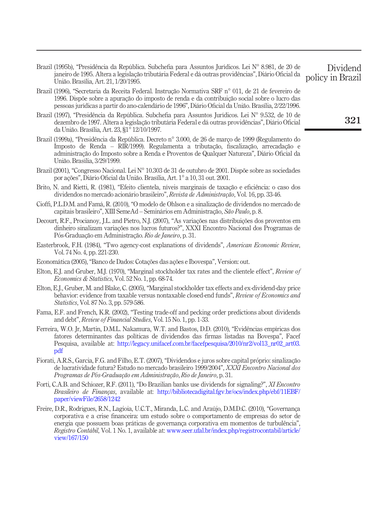- <span id="page-17-0"></span>Brazil (1995b), "Presidência da República. Subchefia para Assuntos Jurídicos. Lei N° 8.981, de 20 de janeiro de 1995. Altera a legislação tributária Federal e dá outras providências", Diário Oficial da União. Brasília, Art. 21, 1/20/1995.
- <span id="page-17-5"></span>Brazil (1996), "Secretaria da Receita Federal. Instrução Normativa SRF n° 011, de 21 de fevereiro de 1996. Dispõe sobre a apuração do imposto de renda e da contribuição social sobre o lucro das pessoas jurídicas a partir do ano-calendário de 1996", Diário Oficial da União. Brasília, 2/22/1996.
- <span id="page-17-1"></span>Brazil (1997), "Presidência da República. Subchefia para Assuntos Jurídicos. Lei N° 9.532, de 10 de dezembro de 1997. Altera a legislação tributária Federal e dá outras providências", Diário Oficial da União. Brasília, Art. 23, §1° 12/10/1997.
- <span id="page-17-4"></span>Brazil (1999a), "Presidência da República. Decreto n° 3.000, de 26 de março de 1999 (Regulamento do Imposto de Renda – RIR/1999). Regulamenta a tributação, fiscalização, arrecadação e administração do Imposto sobre a Renda e Proventos de Qualquer Natureza", Diário Oficial da União. Brasília, 3/29/1999.
- <span id="page-17-3"></span>Brazil (2001), "Congresso Nacional. Lei N° 10.303 de 31 de outubro de 2001. Dispõe sobre as sociedades por ações", Diário Oficial da União. Brasília, Art. 1° a 10, 31 out. 2001.
- <span id="page-17-6"></span>Brito, N. and Rietti, R. (1981), "Efeito clientela, níveis marginais de taxação e eficiência: o caso dos dividendos no mercado acionário brasileiro", Revista de Administração, Vol. 16, pp. 33-46.
- <span id="page-17-9"></span>Cioffi, P.L.D.M. and Famá, R. (2010), "O modelo de Ohlson e a sinalização de dividendos no mercado de capitais brasileiro", XIII SemeAd – Seminários em Administração, São Paulo, p. 8.
- <span id="page-17-8"></span>Decourt, R.F., Procianoy, J.L. and Pietro, N.J. (2007), "As variações nas distribuições dos proventos em dinheiro sinalizam variações nos lucros futuros?", XXXI Encontro Nacional dos Programas de Pós-Graduação em Administração. Rio de Janeiro, p. 31.
- <span id="page-17-15"></span>Easterbrook, F.H. (1984), "Two agency-cost explanations of dividends", American Economic Review, Vol. 74 No. 4, pp. 221-230.
- Economática (2005), "Banco de Dados: Cotações das ações e Ibovespa", Version: out.
- <span id="page-17-7"></span>Elton, E.J. and Gruber, M.J. (1970), "Marginal stockholder tax rates and the clientele effect", Review of Economics & Statistics, Vol. 52 No. 1, pp. 68-74.
- <span id="page-17-2"></span>Elton, E.J., Gruber, M. and Blake, C. (2005), "Marginal stockholder tax effects and ex-dividend-day price behavior: evidence from taxable versus nontaxable closed-end funds", Review of Economics and Statistics, Vol. 87 No. 3, pp. 579-586.
- <span id="page-17-12"></span>Fama, E.F. and French, K.R. (2002), "Testing trade-off and pecking order predictions about dividends and debt", Review of Financial Studies, Vol. 15 No. 1, pp. 1-33.
- <span id="page-17-13"></span>Ferreira, W.O. Jr, Martin, D.M.L. Nakamura, W.T. and Bastos, D.D. (2010), "Evidências empíricas dos fatores determinantes das políticas de dividendos das firmas listadas na Bovespa", Facef Pesquisa, available at: [http://legacy.unifacef.com.br/facefpesquisa/2010/nr2/vol13\\_nr02\\_art03.](http://legacy.unifacef.com.br/facefpesquisa/2010/nr2/vol13_nr02_art03.pdf) [pdf](http://legacy.unifacef.com.br/facefpesquisa/2010/nr2/vol13_nr02_art03.pdf)
- <span id="page-17-11"></span>Fiorati, A.R.S., Garcia, F.G. and Filho, E.T. (2007), "Dividendos e juros sobre capital proprio: sinalização de lucratividade futura? Estudo no mercado brasileiro 1999/2004", XXXI Encontro Nacional dos Programas de Pós-Graduação em Administração, Rio de Janeiro, p. 31.
- <span id="page-17-10"></span>Forti, C.A.B. and Schiozer, R.F. (2011), "Do Brazilian banks use dividends for signaling?", XI Encontro Brasileiro de Finanças, available at: [http://bibliotecadigital.fgv.br/ocs/index.php/ebf/11EBF/](http://bibliotecadigital.fgv.br/ocs/index.php/ebf/11EBF/paper/viewFile/2658/1242) [paper/viewFile/2658/1242](http://bibliotecadigital.fgv.br/ocs/index.php/ebf/11EBF/paper/viewFile/2658/1242)
- <span id="page-17-14"></span>Freire, D.R., Rodrigues, R.N., Lagioia, U.C.T., Miranda, L.C. and Araújo, D.M.D.C. (2010), "Governança corporativa e a crise financeira: um estudo sobre o comportamento de empresas do setor de energia que possuem boas práticas de governança corporativa em momentos de turbulência", Registro Contábil, Vol. 1 No. 1, available at: [www.seer.ufal.br/index.php/registrocontabil/article/](http://www.seer.ufal.br/index.php/registrocontabil/article/view/167/150) [view/167/150](http://www.seer.ufal.br/index.php/registrocontabil/article/view/167/150)

Dividend policy in Brazil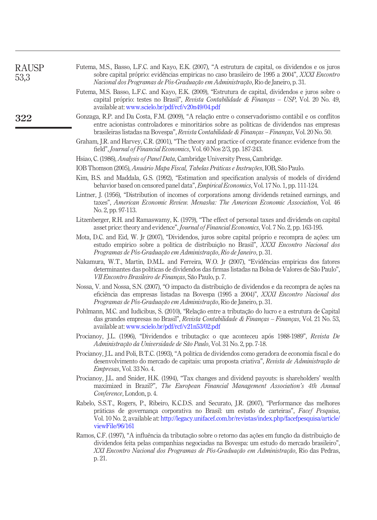<span id="page-18-17"></span><span id="page-18-16"></span><span id="page-18-15"></span><span id="page-18-14"></span><span id="page-18-13"></span><span id="page-18-12"></span><span id="page-18-11"></span><span id="page-18-10"></span><span id="page-18-9"></span><span id="page-18-8"></span><span id="page-18-7"></span><span id="page-18-6"></span><span id="page-18-5"></span><span id="page-18-4"></span><span id="page-18-3"></span><span id="page-18-2"></span><span id="page-18-1"></span><span id="page-18-0"></span>

| <b>RAUSP</b><br>53,3 | Futema, M.S., Basso, L.F.C. and Kayo, E.K. (2007), "A estrutura de capital, os dividendos e os juros<br>sobre capital próprio: evidências empíricas no caso brasileiro de 1995 a 2004", XXXI Encontro<br>Nacional dos Programas de Pós-Graduação em Administração, Rio de Janeiro, p. 31.                               |
|----------------------|-------------------------------------------------------------------------------------------------------------------------------------------------------------------------------------------------------------------------------------------------------------------------------------------------------------------------|
|                      | Futema, M.S. Basso, L.F.C. and Kayo, E.K. (2009), "Estrutura de capital, dividendos e juros sobre o<br>capital próprio: testes no Brasil", Revista Contabilidade & Finanças - USP, Vol. 20 No. 49,<br>available at: www.scielo.br/pdf/rcf/v20n49/04.pdf                                                                 |
| 322                  | Gonzaga, R.P. and Da Costa, F.M. (2009), "A relação entre o conservadorismo contábil e os conflitos<br>entre acionistas controladores e minoritários sobre as políticas de dividendos nas empresas<br>brasileiras listadas na Bovespa", Revista Contabilidade & Finanças - Finanças, Vol. 20 No. 50.                    |
|                      | Graham, J.R. and Harvey, C.R. (2001), "The theory and practice of corporate finance: evidence from the<br>field", Journal of Financial Economics, Vol. 60 Nos 2/3, pp. 187-243.                                                                                                                                         |
|                      | Hsiao, C. (1986), <i>Analysis of Panel Data</i> , Cambridge University Press, Cambridge.                                                                                                                                                                                                                                |
|                      | IOB Thomson (2005), Anuário Mapa Fiscal, Tabelas Práticas e Instruções, IOB, São Paulo.                                                                                                                                                                                                                                 |
|                      | Kim, B.S. and Maddala, G.S. (1992), "Estimation and specification analysis of models of dividend<br>behavior based on censored panel data", <i>Empirical Economics</i> , Vol. 17 No. 1, pp. 111-124.                                                                                                                    |
|                      | Lintner, J. (1956), "Distribution of incomes of corporations among dividends retained earnings, and<br>taxes", American Economic Review. Menasha: The American Economic Association, Vol. 46<br>No. 2, pp. 97-113.                                                                                                      |
|                      | Litzenberger, R.H. and Ramaswamy, K. (1979), "The effect of personal taxes and dividends on capital<br>asset price: theory and evidence", <i>Journal of Financial Economics</i> , Vol. 7 No. 2, pp. 163-195.                                                                                                            |
|                      | Mota, D.C. and Eid, W. Jr (2007), "Dividendos, juros sobre capital próprio e recompra de ações: um<br>estudo empírico sobre a política de distribuição no Brasil", XXXI Encontro Nacional dos<br>Programas de Pós-Graduação em Administração, Rio de Janeiro, p. 31.                                                    |
|                      | Nakamura, W.T., Martin, D.M.L. and Ferreira, W.O. Jr (2007), "Evidências empíricas dos fatores<br>determinantes das políticas de dividendos das firmas listadas na Bolsa de Valores de São Paulo",<br>VII Encontro Brasileiro de Finanças, São Paulo, p.7.                                                              |
|                      | Nossa, V. and Nossa, S.N. (2007), "O impacto da distribuição de dividendos e da recompra de ações na<br>eficiência das empresas listadas na Bovespa (1995 a 2004)", XXXI Encontro Nacional dos<br>Programas de Pós-Graduação em Administração, Rio de Janeiro, p. 31.                                                   |
|                      | Pohlmann, M.C. and Iudícibus, S. (2010), "Relação entre a tributação do lucro e a estrutura de Capital<br>das grandes empresas no Brasil", Revista Contabilidade & Finanças - Finanças, Vol. 21 No. 53,<br>available at: www.scielo.br/pdf/rcf/v21n53/02.pdf                                                            |
|                      | Procianoy, J.L. (1996), "Dividendos e tributação: o que aconteceu após 1988-1989", Revista De<br>Administração da Universidade de São Paulo, Vol. 31 No. 2, pp. 7-18.                                                                                                                                                   |
|                      | Procianoy, J.L. and Poli, B.T.C. (1993), "A política de dividendos como geradora de economia fiscal e do<br>desenvolvimento do mercado de capitais: uma proposta criativa", Revista de Administração de<br><i>Empresas, Vol.</i> 33 No. 4.                                                                              |
|                      | Procianoy, J.L. and Snider, H.K. (1994), "Tax changes and dividend payouts: is shareholders' wealth<br>maximized in Brazil?", The European Financial Management Association's 4th Annual<br>Conference, London, p. 4.                                                                                                   |
|                      | Rabelo, S.S.T., Rogers, P., Ribeiro, K.C.D.S. and Securato, J.R. (2007), "Performance das melhores<br>práticas de governança corporativa no Brasil: um estudo de carteiras", Facef Pesquisa,<br>Vol. 10 No. 2, available at: http://legacy.unifacef.com.br/revistas/index.php/facefpesquisa/article/<br>viewFile/96/161 |
|                      | Ramos, C.F. (1997), "A influência da tributação sobre o retorno das ações em função da distribuição de<br>dividendos feita pelas companhias negociadas na Bovespa: um estudo do mercado brasileiro",<br>XXI Encontro Nacional dos Programas de Pós-Graduação em Administração, Rio das Pedras,<br>p. 21.                |
|                      |                                                                                                                                                                                                                                                                                                                         |